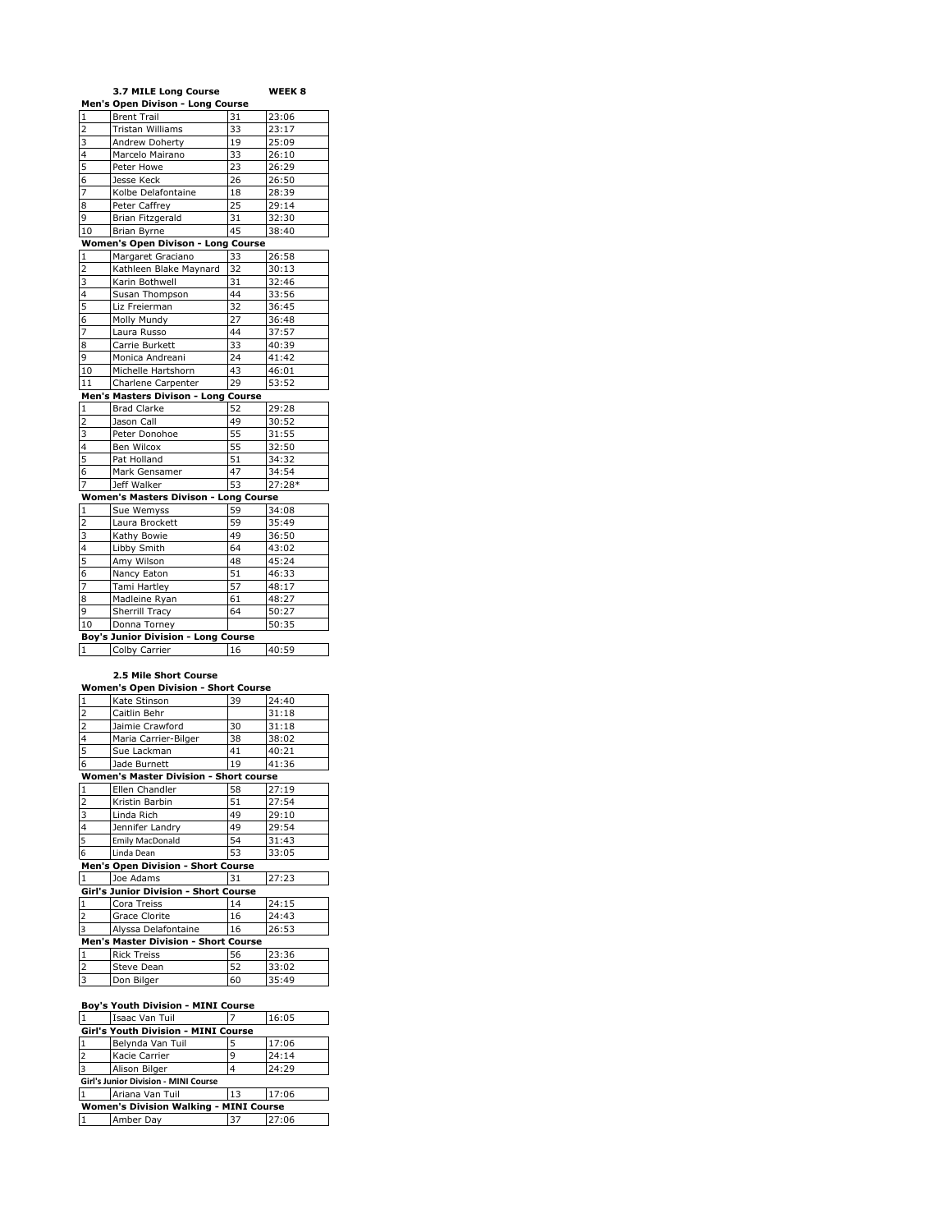| 3.7 MILE Long Course<br>Men's Open Divison - Long Course<br><b>Brent Trail</b><br>$\mathbf{1}$<br>31<br>23:06<br>23:17<br>$\overline{\mathbf{c}}$<br>Tristan Williams<br>33<br>Andrew Doherty<br>25:09<br>3<br>19<br>33<br>26:10<br>4<br>Marcelo Mairano<br>5<br>Peter Howe<br>23<br>26:29<br>Jesse Keck<br>26<br>26:50<br>6<br>Kolbe Delafontaine<br>7<br>28:39<br>18<br>Peter Caffrey<br>25<br>29:14<br>8<br><b>Brian Fitzgerald</b><br>31<br>9<br>32:30<br>10<br>Brian Byrne<br>45<br>38:40<br>Women's Open Divison - Long Course<br>Margaret Graciano<br>33<br>26:58<br>1<br>$\overline{\mathbf{z}}$<br>Kathleen Blake Maynard<br>30:13<br>32<br>3<br>Karin Bothwell<br>31<br>32:46<br>4<br>Susan Thompson<br>44<br>33:56<br>5<br>Liz Freierman<br>32<br>36:45<br>Molly Mundy<br>27<br>6<br>36:48<br>7<br>Laura Russo<br>44<br>37:57<br>Carrie Burkett<br>33<br>40:39<br>8<br>Monica Andreani<br>24<br>9<br>41:42<br>Michelle Hartshorn<br>46:01<br>10<br>43<br>11<br>Charlene Carpenter<br>29<br>53:52<br>Men's Masters Divison - Long Course |  |  |  |  |  |  |  |  |
|----------------------------------------------------------------------------------------------------------------------------------------------------------------------------------------------------------------------------------------------------------------------------------------------------------------------------------------------------------------------------------------------------------------------------------------------------------------------------------------------------------------------------------------------------------------------------------------------------------------------------------------------------------------------------------------------------------------------------------------------------------------------------------------------------------------------------------------------------------------------------------------------------------------------------------------------------------------------------------------------------------------------------------------------------|--|--|--|--|--|--|--|--|
|                                                                                                                                                                                                                                                                                                                                                                                                                                                                                                                                                                                                                                                                                                                                                                                                                                                                                                                                                                                                                                                    |  |  |  |  |  |  |  |  |
|                                                                                                                                                                                                                                                                                                                                                                                                                                                                                                                                                                                                                                                                                                                                                                                                                                                                                                                                                                                                                                                    |  |  |  |  |  |  |  |  |
|                                                                                                                                                                                                                                                                                                                                                                                                                                                                                                                                                                                                                                                                                                                                                                                                                                                                                                                                                                                                                                                    |  |  |  |  |  |  |  |  |
|                                                                                                                                                                                                                                                                                                                                                                                                                                                                                                                                                                                                                                                                                                                                                                                                                                                                                                                                                                                                                                                    |  |  |  |  |  |  |  |  |
|                                                                                                                                                                                                                                                                                                                                                                                                                                                                                                                                                                                                                                                                                                                                                                                                                                                                                                                                                                                                                                                    |  |  |  |  |  |  |  |  |
|                                                                                                                                                                                                                                                                                                                                                                                                                                                                                                                                                                                                                                                                                                                                                                                                                                                                                                                                                                                                                                                    |  |  |  |  |  |  |  |  |
|                                                                                                                                                                                                                                                                                                                                                                                                                                                                                                                                                                                                                                                                                                                                                                                                                                                                                                                                                                                                                                                    |  |  |  |  |  |  |  |  |
|                                                                                                                                                                                                                                                                                                                                                                                                                                                                                                                                                                                                                                                                                                                                                                                                                                                                                                                                                                                                                                                    |  |  |  |  |  |  |  |  |
|                                                                                                                                                                                                                                                                                                                                                                                                                                                                                                                                                                                                                                                                                                                                                                                                                                                                                                                                                                                                                                                    |  |  |  |  |  |  |  |  |
|                                                                                                                                                                                                                                                                                                                                                                                                                                                                                                                                                                                                                                                                                                                                                                                                                                                                                                                                                                                                                                                    |  |  |  |  |  |  |  |  |
|                                                                                                                                                                                                                                                                                                                                                                                                                                                                                                                                                                                                                                                                                                                                                                                                                                                                                                                                                                                                                                                    |  |  |  |  |  |  |  |  |
|                                                                                                                                                                                                                                                                                                                                                                                                                                                                                                                                                                                                                                                                                                                                                                                                                                                                                                                                                                                                                                                    |  |  |  |  |  |  |  |  |
|                                                                                                                                                                                                                                                                                                                                                                                                                                                                                                                                                                                                                                                                                                                                                                                                                                                                                                                                                                                                                                                    |  |  |  |  |  |  |  |  |
|                                                                                                                                                                                                                                                                                                                                                                                                                                                                                                                                                                                                                                                                                                                                                                                                                                                                                                                                                                                                                                                    |  |  |  |  |  |  |  |  |
|                                                                                                                                                                                                                                                                                                                                                                                                                                                                                                                                                                                                                                                                                                                                                                                                                                                                                                                                                                                                                                                    |  |  |  |  |  |  |  |  |
|                                                                                                                                                                                                                                                                                                                                                                                                                                                                                                                                                                                                                                                                                                                                                                                                                                                                                                                                                                                                                                                    |  |  |  |  |  |  |  |  |
|                                                                                                                                                                                                                                                                                                                                                                                                                                                                                                                                                                                                                                                                                                                                                                                                                                                                                                                                                                                                                                                    |  |  |  |  |  |  |  |  |
|                                                                                                                                                                                                                                                                                                                                                                                                                                                                                                                                                                                                                                                                                                                                                                                                                                                                                                                                                                                                                                                    |  |  |  |  |  |  |  |  |
|                                                                                                                                                                                                                                                                                                                                                                                                                                                                                                                                                                                                                                                                                                                                                                                                                                                                                                                                                                                                                                                    |  |  |  |  |  |  |  |  |
|                                                                                                                                                                                                                                                                                                                                                                                                                                                                                                                                                                                                                                                                                                                                                                                                                                                                                                                                                                                                                                                    |  |  |  |  |  |  |  |  |
|                                                                                                                                                                                                                                                                                                                                                                                                                                                                                                                                                                                                                                                                                                                                                                                                                                                                                                                                                                                                                                                    |  |  |  |  |  |  |  |  |
|                                                                                                                                                                                                                                                                                                                                                                                                                                                                                                                                                                                                                                                                                                                                                                                                                                                                                                                                                                                                                                                    |  |  |  |  |  |  |  |  |
|                                                                                                                                                                                                                                                                                                                                                                                                                                                                                                                                                                                                                                                                                                                                                                                                                                                                                                                                                                                                                                                    |  |  |  |  |  |  |  |  |
|                                                                                                                                                                                                                                                                                                                                                                                                                                                                                                                                                                                                                                                                                                                                                                                                                                                                                                                                                                                                                                                    |  |  |  |  |  |  |  |  |
| 29:28<br>1<br><b>Brad Clarke</b><br>52                                                                                                                                                                                                                                                                                                                                                                                                                                                                                                                                                                                                                                                                                                                                                                                                                                                                                                                                                                                                             |  |  |  |  |  |  |  |  |
| $\overline{2}$<br>Jason Call<br>49<br>30:52                                                                                                                                                                                                                                                                                                                                                                                                                                                                                                                                                                                                                                                                                                                                                                                                                                                                                                                                                                                                        |  |  |  |  |  |  |  |  |
| 3<br>Peter Donohoe<br>55<br>31:55                                                                                                                                                                                                                                                                                                                                                                                                                                                                                                                                                                                                                                                                                                                                                                                                                                                                                                                                                                                                                  |  |  |  |  |  |  |  |  |
| 55<br>32:50<br>4<br>Ben Wilcox                                                                                                                                                                                                                                                                                                                                                                                                                                                                                                                                                                                                                                                                                                                                                                                                                                                                                                                                                                                                                     |  |  |  |  |  |  |  |  |
| 5<br>51<br>34:32<br>Pat Holland                                                                                                                                                                                                                                                                                                                                                                                                                                                                                                                                                                                                                                                                                                                                                                                                                                                                                                                                                                                                                    |  |  |  |  |  |  |  |  |
| Mark Gensamer<br>34:54<br>6<br>47                                                                                                                                                                                                                                                                                                                                                                                                                                                                                                                                                                                                                                                                                                                                                                                                                                                                                                                                                                                                                  |  |  |  |  |  |  |  |  |
| 53<br>7<br>Jeff Walker<br>27:28*                                                                                                                                                                                                                                                                                                                                                                                                                                                                                                                                                                                                                                                                                                                                                                                                                                                                                                                                                                                                                   |  |  |  |  |  |  |  |  |
| Women's Masters Divison - Long Course                                                                                                                                                                                                                                                                                                                                                                                                                                                                                                                                                                                                                                                                                                                                                                                                                                                                                                                                                                                                              |  |  |  |  |  |  |  |  |
| 59<br>34:08<br>Sue Wemyss<br>1                                                                                                                                                                                                                                                                                                                                                                                                                                                                                                                                                                                                                                                                                                                                                                                                                                                                                                                                                                                                                     |  |  |  |  |  |  |  |  |
| $\overline{2}$<br>Laura Brockett<br>59<br>35:49                                                                                                                                                                                                                                                                                                                                                                                                                                                                                                                                                                                                                                                                                                                                                                                                                                                                                                                                                                                                    |  |  |  |  |  |  |  |  |
| 36:50<br>3<br>Kathy Bowie<br>49                                                                                                                                                                                                                                                                                                                                                                                                                                                                                                                                                                                                                                                                                                                                                                                                                                                                                                                                                                                                                    |  |  |  |  |  |  |  |  |
| Libby Smith<br>64<br>4<br>43:02                                                                                                                                                                                                                                                                                                                                                                                                                                                                                                                                                                                                                                                                                                                                                                                                                                                                                                                                                                                                                    |  |  |  |  |  |  |  |  |
| 5<br>Amy Wilson<br>45:24<br>48                                                                                                                                                                                                                                                                                                                                                                                                                                                                                                                                                                                                                                                                                                                                                                                                                                                                                                                                                                                                                     |  |  |  |  |  |  |  |  |
| 51<br>Nancy Eaton<br>46:33<br>6                                                                                                                                                                                                                                                                                                                                                                                                                                                                                                                                                                                                                                                                                                                                                                                                                                                                                                                                                                                                                    |  |  |  |  |  |  |  |  |
| 7<br>Tami Hartley<br>57<br>48:17                                                                                                                                                                                                                                                                                                                                                                                                                                                                                                                                                                                                                                                                                                                                                                                                                                                                                                                                                                                                                   |  |  |  |  |  |  |  |  |
| Madleine Ryan<br>61<br>48:27<br>8                                                                                                                                                                                                                                                                                                                                                                                                                                                                                                                                                                                                                                                                                                                                                                                                                                                                                                                                                                                                                  |  |  |  |  |  |  |  |  |
| Sherrill Tracy<br>9<br>64<br>50:27                                                                                                                                                                                                                                                                                                                                                                                                                                                                                                                                                                                                                                                                                                                                                                                                                                                                                                                                                                                                                 |  |  |  |  |  |  |  |  |
| 10<br>Donna Torney<br>50:35                                                                                                                                                                                                                                                                                                                                                                                                                                                                                                                                                                                                                                                                                                                                                                                                                                                                                                                                                                                                                        |  |  |  |  |  |  |  |  |
| <b>Boy's Junior Division - Long Course</b>                                                                                                                                                                                                                                                                                                                                                                                                                                                                                                                                                                                                                                                                                                                                                                                                                                                                                                                                                                                                         |  |  |  |  |  |  |  |  |
| Colby Carrier<br>40:59<br>1<br>16                                                                                                                                                                                                                                                                                                                                                                                                                                                                                                                                                                                                                                                                                                                                                                                                                                                                                                                                                                                                                  |  |  |  |  |  |  |  |  |

## **2.5 Mile Short Course**

| <b>Women's Open Division - Short Course</b>   |                                       |    |       |  |  |  |
|-----------------------------------------------|---------------------------------------|----|-------|--|--|--|
| $\mathbf{1}$                                  | Kate Stinson                          | 39 | 24:40 |  |  |  |
|                                               | Caitlin Behr                          |    | 31:18 |  |  |  |
| $\frac{2}{4}$                                 | Jaimie Crawford                       | 30 | 31:18 |  |  |  |
|                                               | Maria Carrier-Bilger                  | 38 | 38:02 |  |  |  |
| $\overline{5}$                                | Sue Lackman                           | 41 | 40:21 |  |  |  |
| 6                                             | Jade Burnett                          | 19 | 41:36 |  |  |  |
| <b>Women's Master Division - Short course</b> |                                       |    |       |  |  |  |
| $\mathbf{1}$                                  | Ellen Chandler                        | 58 | 27:19 |  |  |  |
| $rac{2}{3}$                                   | Kristin Barbin                        | 51 | 27:54 |  |  |  |
|                                               | Linda Rich                            | 49 | 29:10 |  |  |  |
| $\overline{4}$                                | Jennifer Landry                       | 49 | 29:54 |  |  |  |
| 5                                             | Emily MacDonald                       | 54 | 31:43 |  |  |  |
| $\mathbf 6$                                   | Linda Dean                            | 53 | 33:05 |  |  |  |
| <b>Men's Open Division - Short Course</b>     |                                       |    |       |  |  |  |
| 1                                             | Joe Adams                             | 31 | 27:23 |  |  |  |
|                                               | Girl's Junior Division - Short Course |    |       |  |  |  |
| $\mathbf 1$                                   | Cora Treiss                           | 14 | 24:15 |  |  |  |
| $\overline{\mathbf{c}}$                       | Grace Clorite                         | 16 | 24:43 |  |  |  |
| $\overline{\mathbf{3}}$                       | Alyssa Delafontaine                   | 16 | 26:53 |  |  |  |
|                                               | Men's Master Division - Short Course  |    |       |  |  |  |
| 1                                             | <b>Rick Treiss</b>                    | 56 | 23:36 |  |  |  |
| $\overline{\mathbf{c}}$                       | Steve Dean                            | 52 | 33:02 |  |  |  |
| $\overline{\mathbf{3}}$                       | Don Bilger                            | 60 | 35:49 |  |  |  |

## **Boy's Youth Division - MINI Course**

|                                               | Amber Day        | 37 | 27:06 |  |  |  |  |
|-----------------------------------------------|------------------|----|-------|--|--|--|--|
| <b>Women's Division Walking - MINI Course</b> |                  |    |       |  |  |  |  |
|                                               | Ariana Van Tuil  | 13 | 17:06 |  |  |  |  |
| Girl's Junior Division - MINI Course          |                  |    |       |  |  |  |  |
| $\overline{a}$                                | Alison Bilger    |    | 24:29 |  |  |  |  |
| $\overline{\phantom{a}}$                      | Kacie Carrier    | q  | 24:14 |  |  |  |  |
|                                               | Belynda Van Tuil | 5  | 17:06 |  |  |  |  |
| <b>Girl's Youth Division - MINI Course</b>    |                  |    |       |  |  |  |  |
|                                               | Isaac Van Tuil   |    | 16:05 |  |  |  |  |
|                                               |                  |    |       |  |  |  |  |